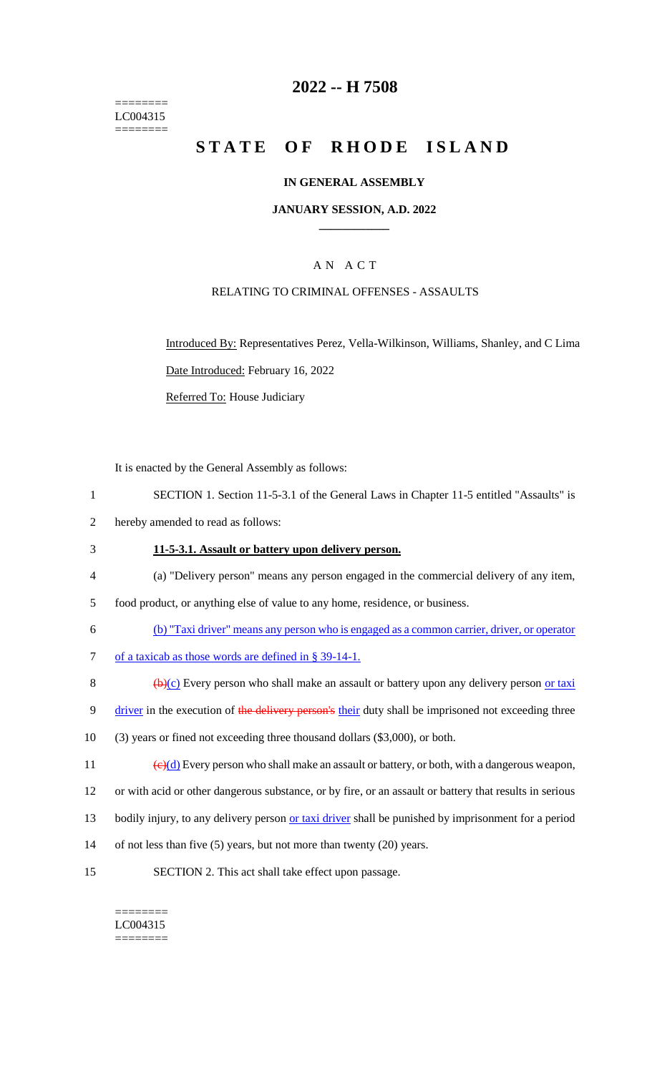======== LC004315 ========

## **2022 -- H 7508**

# **STATE OF RHODE ISLAND**

## **IN GENERAL ASSEMBLY**

### **JANUARY SESSION, A.D. 2022 \_\_\_\_\_\_\_\_\_\_\_\_**

## A N A C T

## RELATING TO CRIMINAL OFFENSES - ASSAULTS

Introduced By: Representatives Perez, Vella-Wilkinson, Williams, Shanley, and C Lima Date Introduced: February 16, 2022

Referred To: House Judiciary

It is enacted by the General Assembly as follows:

- 1 SECTION 1. Section 11-5-3.1 of the General Laws in Chapter 11-5 entitled "Assaults" is
- 2 hereby amended to read as follows:

### 3 **11-5-3.1. Assault or battery upon delivery person.**

4 (a) "Delivery person" means any person engaged in the commercial delivery of any item,

5 food product, or anything else of value to any home, residence, or business.

- 6 (b) "Taxi driver" means any person who is engaged as a common carrier, driver, or operator
- 7 of a taxicab as those words are defined in § 39-14-1.
- 8  $\left(\frac{b}{c}\right)$  Every person who shall make an assault or battery upon any delivery person or taxi
- 9 driver in the execution of the delivery person's their duty shall be imprisoned not exceeding three
- 10 (3) years or fined not exceeding three thousand dollars (\$3,000), or both.
- 11  $\left(\frac{e}{d}\right)$  Every person who shall make an assault or battery, or both, with a dangerous weapon,
- 12 or with acid or other dangerous substance, or by fire, or an assault or battery that results in serious
- 13 bodily injury, to any delivery person or taxi driver shall be punished by imprisonment for a period
- 14 of not less than five (5) years, but not more than twenty (20) years.
- 15 SECTION 2. This act shall take effect upon passage.

#### ======== LC004315

========